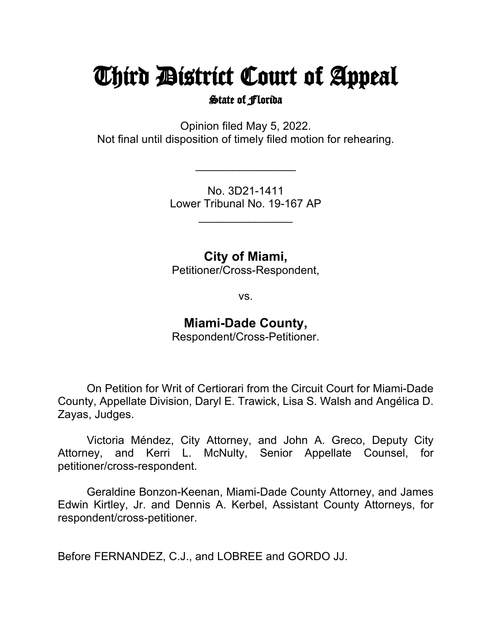# Third District Court of Appeal

State of Florida

Opinion filed May 5, 2022. Not final until disposition of timely filed motion for rehearing.

> No. 3D21-1411 Lower Tribunal No. 19-167 AP

> > \_\_\_\_\_\_\_\_\_\_\_\_\_\_\_

 $\overline{\phantom{a}}$ 

**City of Miami,**

Petitioner/Cross-Respondent,

vs.

## **Miami-Dade County,**

Respondent/Cross-Petitioner.

On Petition for Writ of Certiorari from the Circuit Court for Miami-Dade County, Appellate Division, Daryl E. Trawick, Lisa S. Walsh and Angélica D. Zayas, Judges.

Victoria Méndez, City Attorney, and John A. Greco, Deputy City Attorney, and Kerri L. McNulty, Senior Appellate Counsel, for petitioner/cross-respondent.

Geraldine Bonzon-Keenan, Miami-Dade County Attorney, and James Edwin Kirtley, Jr. and Dennis A. Kerbel, Assistant County Attorneys, for respondent/cross-petitioner.

Before FERNANDEZ, C.J., and LOBREE and GORDO JJ.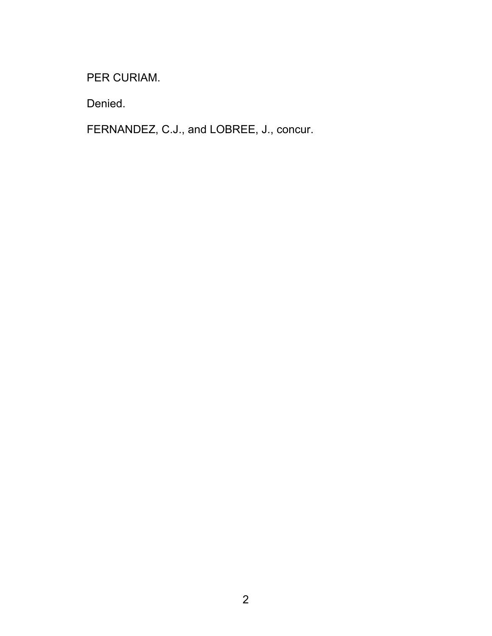PER CURIAM.

Denied.

FERNANDEZ, C.J., and LOBREE, J., concur.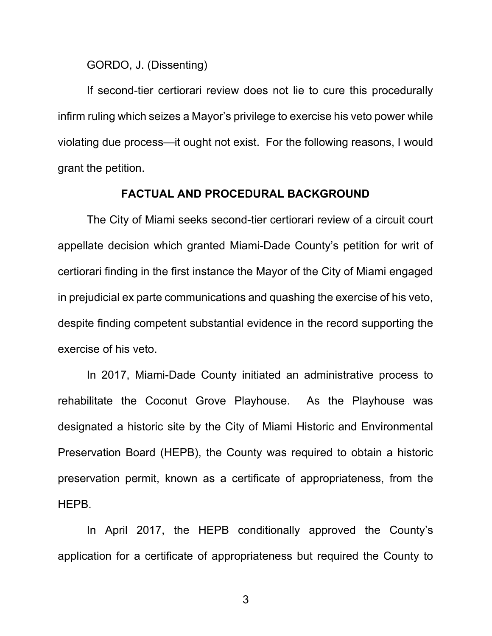GORDO, J. (Dissenting)

If second-tier certiorari review does not lie to cure this procedurally infirm ruling which seizes a Mayor's privilege to exercise his veto power while violating due process—it ought not exist. For the following reasons, I would grant the petition.

#### **FACTUAL AND PROCEDURAL BACKGROUND**

The City of Miami seeks second-tier certiorari review of a circuit court appellate decision which granted Miami-Dade County's petition for writ of certiorari finding in the first instance the Mayor of the City of Miami engaged in prejudicial ex parte communications and quashing the exercise of his veto, despite finding competent substantial evidence in the record supporting the exercise of his veto.

In 2017, Miami-Dade County initiated an administrative process to rehabilitate the Coconut Grove Playhouse. As the Playhouse was designated a historic site by the City of Miami Historic and Environmental Preservation Board (HEPB), the County was required to obtain a historic preservation permit, known as a certificate of appropriateness, from the HEPB.

In April 2017, the HEPB conditionally approved the County's application for a certificate of appropriateness but required the County to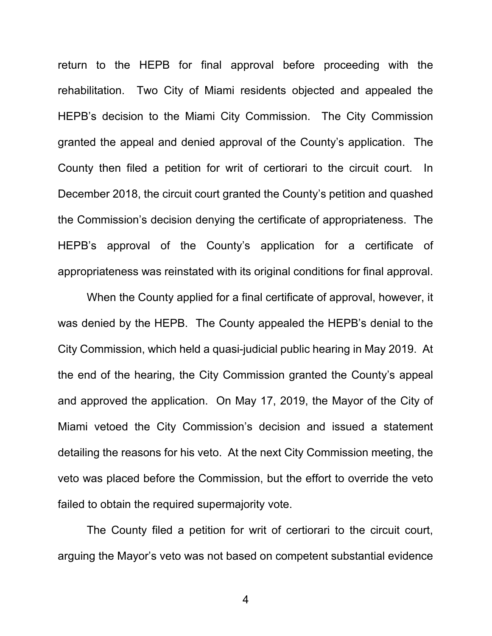return to the HEPB for final approval before proceeding with the rehabilitation. Two City of Miami residents objected and appealed the HEPB's decision to the Miami City Commission. The City Commission granted the appeal and denied approval of the County's application. The County then filed a petition for writ of certiorari to the circuit court. In December 2018, the circuit court granted the County's petition and quashed the Commission's decision denying the certificate of appropriateness. The HEPB's approval of the County's application for a certificate of appropriateness was reinstated with its original conditions for final approval.

When the County applied for a final certificate of approval, however, it was denied by the HEPB. The County appealed the HEPB's denial to the City Commission, which held a quasi-judicial public hearing in May 2019. At the end of the hearing, the City Commission granted the County's appeal and approved the application. On May 17, 2019, the Mayor of the City of Miami vetoed the City Commission's decision and issued a statement detailing the reasons for his veto. At the next City Commission meeting, the veto was placed before the Commission, but the effort to override the veto failed to obtain the required supermajority vote.

The County filed a petition for writ of certiorari to the circuit court, arguing the Mayor's veto was not based on competent substantial evidence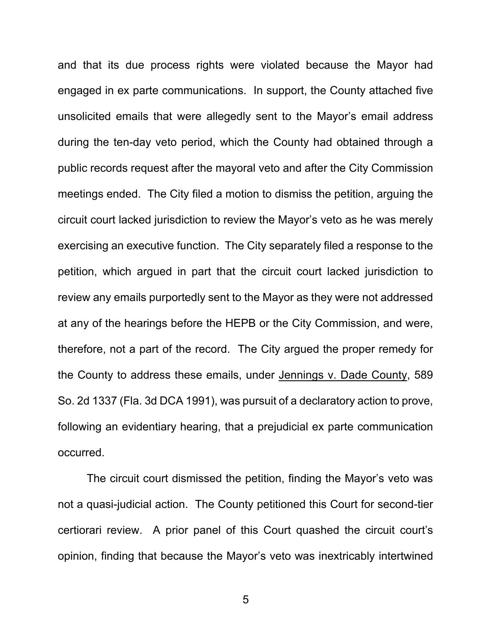and that its due process rights were violated because the Mayor had engaged in ex parte communications. In support, the County attached five unsolicited emails that were allegedly sent to the Mayor's email address during the ten-day veto period, which the County had obtained through a public records request after the mayoral veto and after the City Commission meetings ended. The City filed a motion to dismiss the petition, arguing the circuit court lacked jurisdiction to review the Mayor's veto as he was merely exercising an executive function. The City separately filed a response to the petition, which argued in part that the circuit court lacked jurisdiction to review any emails purportedly sent to the Mayor as they were not addressed at any of the hearings before the HEPB or the City Commission, and were, therefore, not a part of the record. The City argued the proper remedy for the County to address these emails, under Jennings v. Dade County, 589 So. 2d 1337 (Fla. 3d DCA 1991), was pursuit of a declaratory action to prove, following an evidentiary hearing, that a prejudicial ex parte communication occurred.

The circuit court dismissed the petition, finding the Mayor's veto was not a quasi-judicial action. The County petitioned this Court for second-tier certiorari review. A prior panel of this Court quashed the circuit court's opinion, finding that because the Mayor's veto was inextricably intertwined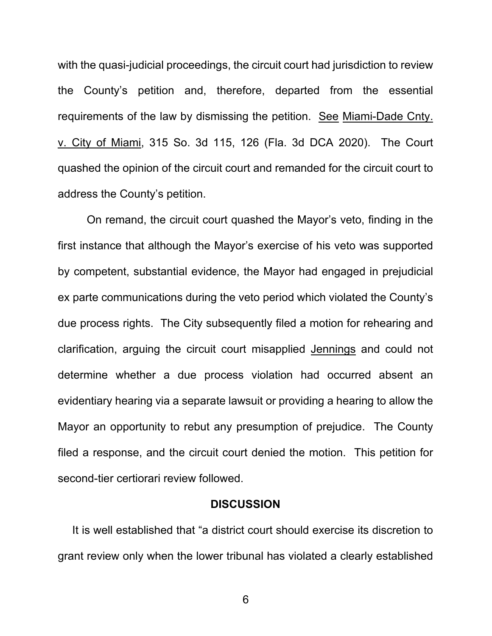with the quasi-judicial proceedings, the circuit court had jurisdiction to review the County's petition and, therefore, departed from the essential requirements of the law by dismissing the petition. See Miami-Dade Cnty. v. City of Miami, 315 So. 3d 115, 126 (Fla. 3d DCA 2020). The Court quashed the opinion of the circuit court and remanded for the circuit court to address the County's petition.

On remand, the circuit court quashed the Mayor's veto, finding in the first instance that although the Mayor's exercise of his veto was supported by competent, substantial evidence, the Mayor had engaged in prejudicial ex parte communications during the veto period which violated the County's due process rights. The City subsequently filed a motion for rehearing and clarification, arguing the circuit court misapplied Jennings and could not determine whether a due process violation had occurred absent an evidentiary hearing via a separate lawsuit or providing a hearing to allow the Mayor an opportunity to rebut any presumption of prejudice. The County filed a response, and the circuit court denied the motion. This petition for second-tier certiorari review followed.

#### **DISCUSSION**

It is well established that "a district court should exercise its discretion to grant review only when the lower tribunal has violated a clearly established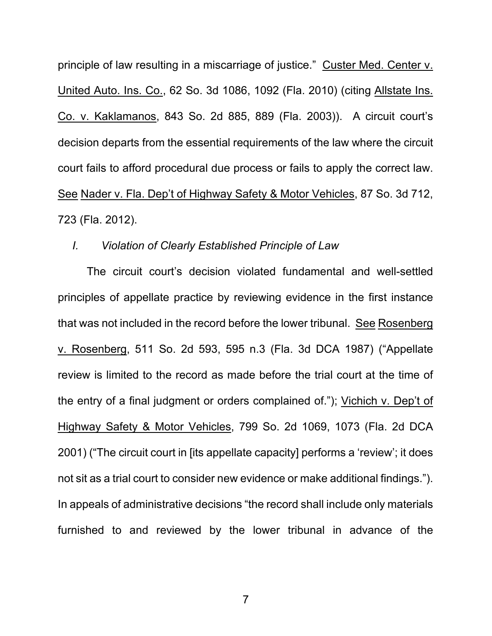principle of law resulting in a miscarriage of justice." Custer Med. Center v. United Auto. Ins. Co., 62 So. 3d 1086, 1092 (Fla. 2010) (citing Allstate Ins. Co. v. Kaklamanos, 843 So. 2d 885, 889 (Fla. 2003)). A circuit court's decision departs from the essential requirements of the law where the circuit court fails to afford procedural due process or fails to apply the correct law. See Nader v. Fla. Dep't of Highway Safety & Motor Vehicles, 87 So. 3d 712, 723 (Fla. 2012).

### *I. Violation of Clearly Established Principle of Law*

The circuit court's decision violated fundamental and well-settled principles of appellate practice by reviewing evidence in the first instance that was not included in the record before the lower tribunal. See Rosenberg v. Rosenberg, 511 So. 2d 593, 595 n.3 (Fla. 3d DCA 1987) ("Appellate review is limited to the record as made before the trial court at the time of the entry of a final judgment or orders complained of."); Vichich v. Dep't of Highway Safety & Motor Vehicles, 799 So. 2d 1069, 1073 (Fla. 2d DCA 2001) ("The circuit court in [its appellate capacity] performs a 'review'; it does not sit as a trial court to consider new evidence or make additional findings."). In appeals of administrative decisions "the record shall include only materials furnished to and reviewed by the lower tribunal in advance of the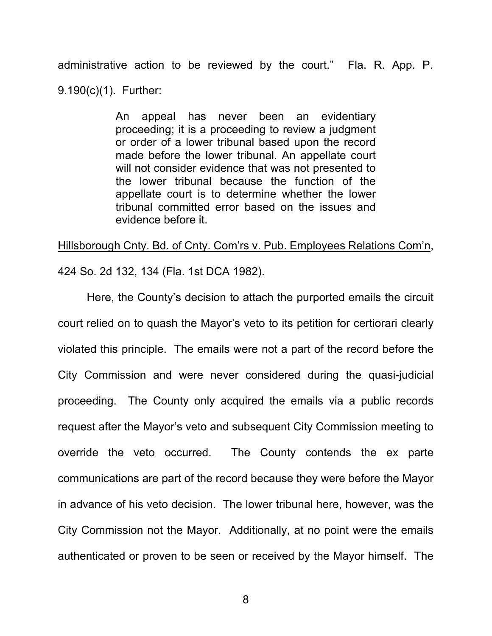administrative action to be reviewed by the court." Fla. R. App. P. 9.190(c)(1). Further:

> An appeal has never been an evidentiary proceeding; it is a proceeding to review a judgment or order of a lower tribunal based upon the record made before the lower tribunal. An appellate court will not consider evidence that was not presented to the lower tribunal because the function of the appellate court is to determine whether the lower tribunal committed error based on the issues and evidence before it.

Hillsborough Cnty. Bd. of Cnty. Com'rs v. Pub. Employees Relations Com'n, 424 So. 2d 132, 134 (Fla. 1st DCA 1982).

Here, the County's decision to attach the purported emails the circuit court relied on to quash the Mayor's veto to its petition for certiorari clearly violated this principle. The emails were not a part of the record before the City Commission and were never considered during the quasi-judicial proceeding. The County only acquired the emails via a public records request after the Mayor's veto and subsequent City Commission meeting to override the veto occurred. The County contends the ex parte communications are part of the record because they were before the Mayor in advance of his veto decision. The lower tribunal here, however, was the City Commission not the Mayor. Additionally, at no point were the emails authenticated or proven to be seen or received by the Mayor himself. The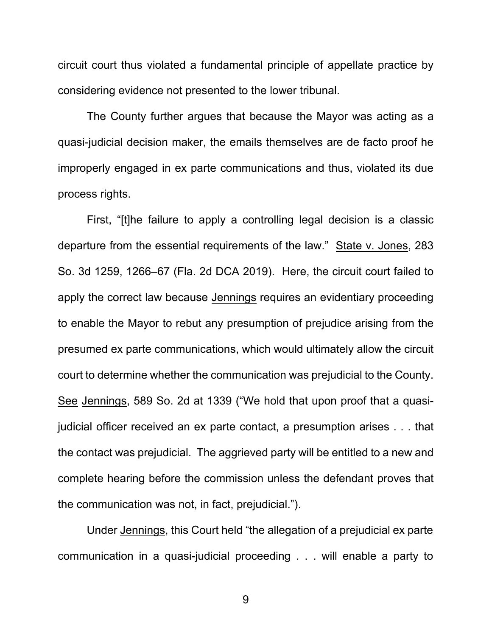circuit court thus violated a fundamental principle of appellate practice by considering evidence not presented to the lower tribunal.

The County further argues that because the Mayor was acting as a quasi-judicial decision maker, the emails themselves are de facto proof he improperly engaged in ex parte communications and thus, violated its due process rights.

First, "[t]he failure to apply a controlling legal decision is a classic departure from the essential requirements of the law." State v. Jones, 283 So. 3d 1259, 1266–67 (Fla. 2d DCA 2019). Here, the circuit court failed to apply the correct law because Jennings requires an evidentiary proceeding to enable the Mayor to rebut any presumption of prejudice arising from the presumed ex parte communications, which would ultimately allow the circuit court to determine whether the communication was prejudicial to the County. See Jennings, 589 So. 2d at 1339 ("We hold that upon proof that a quasijudicial officer received an ex parte contact, a presumption arises . . . that the contact was prejudicial. The aggrieved party will be entitled to a new and complete hearing before the commission unless the defendant proves that the communication was not, in fact, prejudicial.").

Under Jennings, this Court held "the allegation of a prejudicial ex parte communication in a quasi-judicial proceeding . . . will enable a party to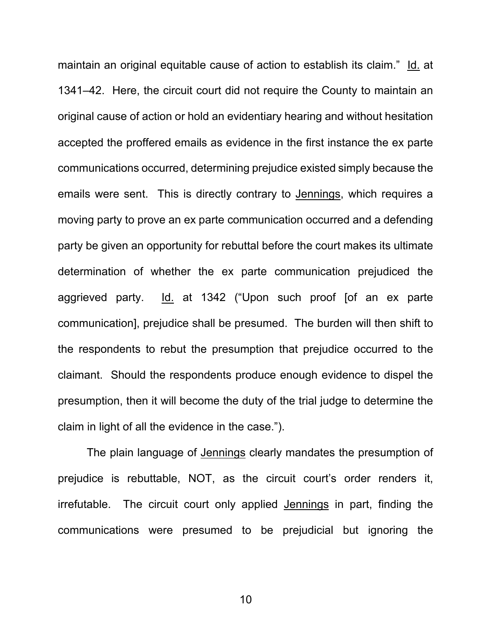maintain an original equitable cause of action to establish its claim." Id. at 1341–42. Here, the circuit court did not require the County to maintain an original cause of action or hold an evidentiary hearing and without hesitation accepted the proffered emails as evidence in the first instance the ex parte communications occurred, determining prejudice existed simply because the emails were sent. This is directly contrary to Jennings, which requires a moving party to prove an ex parte communication occurred and a defending party be given an opportunity for rebuttal before the court makes its ultimate determination of whether the ex parte communication prejudiced the aggrieved party. Id. at 1342 ("Upon such proof [of an ex parte communication], prejudice shall be presumed. The burden will then shift to the respondents to rebut the presumption that prejudice occurred to the claimant. Should the respondents produce enough evidence to dispel the presumption, then it will become the duty of the trial judge to determine the claim in light of all the evidence in the case.").

The plain language of Jennings clearly mandates the presumption of prejudice is rebuttable, NOT, as the circuit court's order renders it, irrefutable. The circuit court only applied Jennings in part, finding the communications were presumed to be prejudicial but ignoring the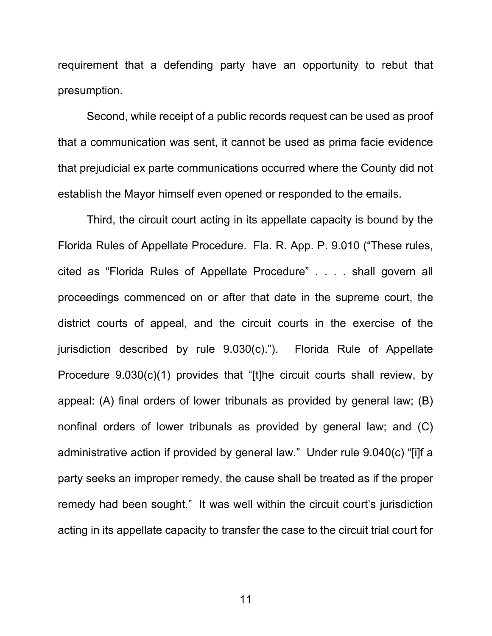requirement that a defending party have an opportunity to rebut that presumption.

Second, while receipt of a public records request can be used as proof that a communication was sent, it cannot be used as prima facie evidence that prejudicial ex parte communications occurred where the County did not establish the Mayor himself even opened or responded to the emails.

Third, the circuit court acting in its appellate capacity is bound by the Florida Rules of Appellate Procedure. Fla. R. App. P. 9.010 ("These rules, cited as "Florida Rules of Appellate Procedure" . . . . shall govern all proceedings commenced on or after that date in the supreme court, the district courts of appeal, and the circuit courts in the exercise of the jurisdiction described by rule 9.030(c)."). Florida Rule of Appellate Procedure 9.030(c)(1) provides that "[t]he circuit courts shall review, by appeal: (A) final orders of lower tribunals as provided by general law; (B) nonfinal orders of lower tribunals as provided by general law; and (C) administrative action if provided by general law." Under rule 9.040(c) "[i]f a party seeks an improper remedy, the cause shall be treated as if the proper remedy had been sought." It was well within the circuit court's jurisdiction acting in its appellate capacity to transfer the case to the circuit trial court for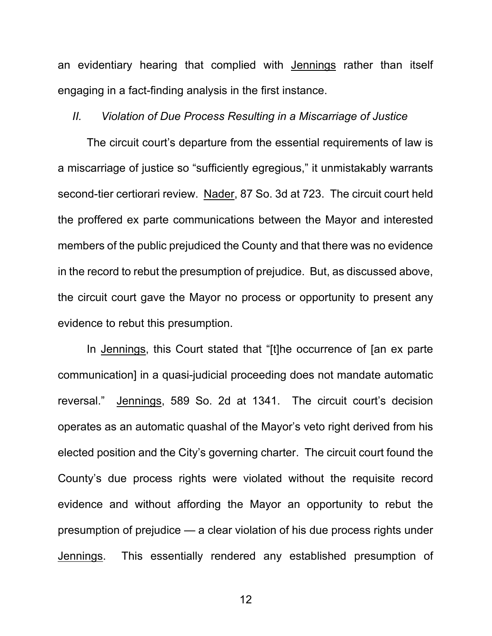an evidentiary hearing that complied with Jennings rather than itself engaging in a fact-finding analysis in the first instance.

## *II. Violation of Due Process Resulting in a Miscarriage of Justice*

The circuit court's departure from the essential requirements of law is a miscarriage of justice so "sufficiently egregious," it unmistakably warrants second-tier certiorari review. Nader, 87 So. 3d at 723. The circuit court held the proffered ex parte communications between the Mayor and interested members of the public prejudiced the County and that there was no evidence in the record to rebut the presumption of prejudice. But, as discussed above, the circuit court gave the Mayor no process or opportunity to present any evidence to rebut this presumption.

In Jennings, this Court stated that "[t]he occurrence of [an ex parte communication] in a quasi-judicial proceeding does not mandate automatic reversal." Jennings, 589 So. 2d at 1341. The circuit court's decision operates as an automatic quashal of the Mayor's veto right derived from his elected position and the City's governing charter. The circuit court found the County's due process rights were violated without the requisite record evidence and without affording the Mayor an opportunity to rebut the presumption of prejudice — a clear violation of his due process rights under Jennings. This essentially rendered any established presumption of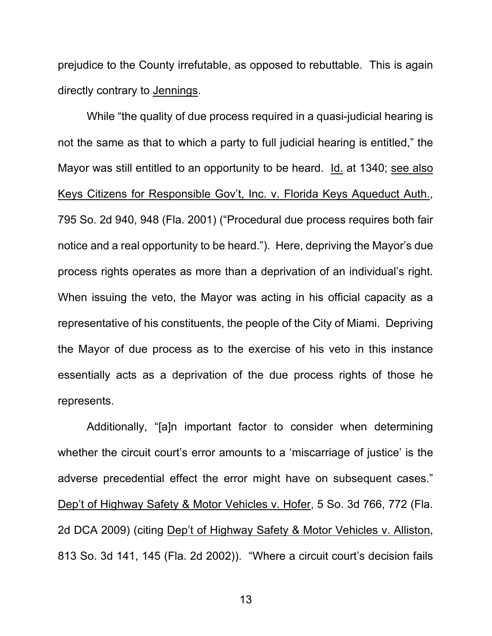prejudice to the County irrefutable, as opposed to rebuttable. This is again directly contrary to Jennings.

While "the quality of due process required in a quasi-judicial hearing is not the same as that to which a party to full judicial hearing is entitled," the Mayor was still entitled to an opportunity to be heard. Id. at 1340; see also Keys Citizens for Responsible Gov't, Inc. v. Florida Keys Aqueduct Auth., 795 So. 2d 940, 948 (Fla. 2001) ("Procedural due process requires both fair notice and a real opportunity to be heard."). Here, depriving the Mayor's due process rights operates as more than a deprivation of an individual's right. When issuing the veto, the Mayor was acting in his official capacity as a representative of his constituents, the people of the City of Miami. Depriving the Mayor of due process as to the exercise of his veto in this instance essentially acts as a deprivation of the due process rights of those he represents.

Additionally, "[a]n important factor to consider when determining whether the circuit court's error amounts to a 'miscarriage of justice' is the adverse precedential effect the error might have on subsequent cases." Dep't of Highway Safety & Motor Vehicles v. Hofer, 5 So. 3d 766, 772 (Fla. 2d DCA 2009) (citing Dep't of Highway Safety & Motor Vehicles v. Alliston, 813 So. 3d 141, 145 (Fla. 2d 2002)). "Where a circuit court's decision fails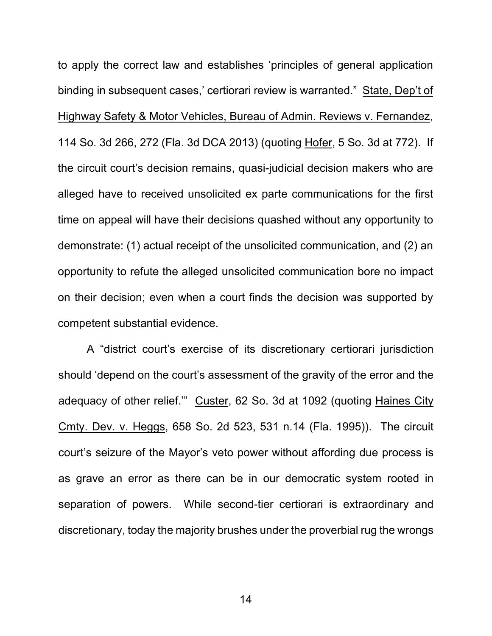to apply the correct law and establishes 'principles of general application binding in subsequent cases,' certiorari review is warranted." State, Dep't of Highway Safety & Motor Vehicles, Bureau of Admin. Reviews v. Fernandez, 114 So. 3d 266, 272 (Fla. 3d DCA 2013) (quoting Hofer, 5 So. 3d at 772). If the circuit court's decision remains, quasi-judicial decision makers who are alleged have to received unsolicited ex parte communications for the first time on appeal will have their decisions quashed without any opportunity to demonstrate: (1) actual receipt of the unsolicited communication, and (2) an opportunity to refute the alleged unsolicited communication bore no impact on their decision; even when a court finds the decision was supported by competent substantial evidence.

A "district court's exercise of its discretionary certiorari jurisdiction should 'depend on the court's assessment of the gravity of the error and the adequacy of other relief.'" Custer, 62 So. 3d at 1092 (quoting Haines City Cmty. Dev. v. Heggs, 658 So. 2d 523, 531 n.14 (Fla. 1995)). The circuit court's seizure of the Mayor's veto power without affording due process is as grave an error as there can be in our democratic system rooted in separation of powers. While second-tier certiorari is extraordinary and discretionary, today the majority brushes under the proverbial rug the wrongs